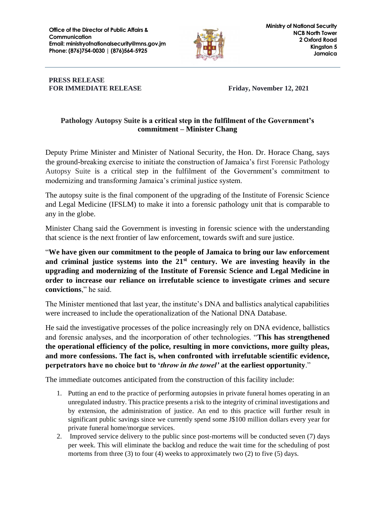

## **PRESS RELEASE FOR IMMEDIATE RELEASE FRIDAY, November 12, 2021**

## **Pathology Autopsy Suite is a critical step in the fulfilment of the Government's commitment – Minister Chang**

Deputy Prime Minister and Minister of National Security, the Hon. Dr. Horace Chang, says the ground-breaking exercise to initiate the construction of Jamaica's first Forensic Pathology Autopsy Suite is a critical step in the fulfilment of the Government's commitment to modernizing and transforming Jamaica's criminal justice system.

The autopsy suite is the final component of the upgrading of the Institute of Forensic Science and Legal Medicine (IFSLM) to make it into a forensic pathology unit that is comparable to any in the globe.

Minister Chang said the Government is investing in forensic science with the understanding that science is the next frontier of law enforcement, towards swift and sure justice.

"**We have given our commitment to the people of Jamaica to bring our law enforcement and criminal justice systems into the 21st century. We are investing heavily in the upgrading and modernizing of the Institute of Forensic Science and Legal Medicine in order to increase our reliance on irrefutable science to investigate crimes and secure convictions**," he said.

The Minister mentioned that last year, the institute's DNA and ballistics analytical capabilities were increased to include the operationalization of the National DNA Database.

He said the investigative processes of the police increasingly rely on DNA evidence, ballistics and forensic analyses, and the incorporation of other technologies. "**This has strengthened the operational efficiency of the police, resulting in more convictions, more guilty pleas, and more confessions. The fact is, when confronted with irrefutable scientific evidence, perpetrators have no choice but to '***throw in the towel'* **at the earliest opportunity**."

The immediate outcomes anticipated from the construction of this facility include:

- 1. Putting an end to the practice of performing autopsies in private funeral homes operating in an unregulated industry. This practice presents a risk to the integrity of criminal investigations and by extension, the administration of justice. An end to this practice will further result in significant public savings since we currently spend some J\$100 million dollars every year for private funeral home/morgue services.
- 2. Improved service delivery to the public since post-mortems will be conducted seven (7) days per week. This will eliminate the backlog and reduce the wait time for the scheduling of post mortems from three (3) to four (4) weeks to approximately two (2) to five (5) days.